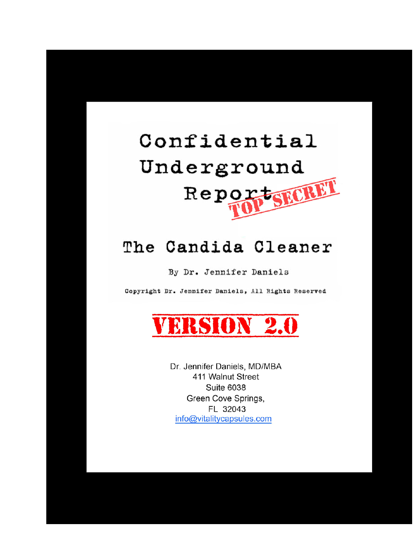

# The Candida Cleaner

By Dr. Jennifer Daniels

Copyright Dr. Jennifer Daniels, All Rights Reserved



Dr. Jennifer Daniels, MD/MBA 411 Walnut Street **Suite 6038** Green Cove Springs, FL 32043 info@vitalitycapsules.com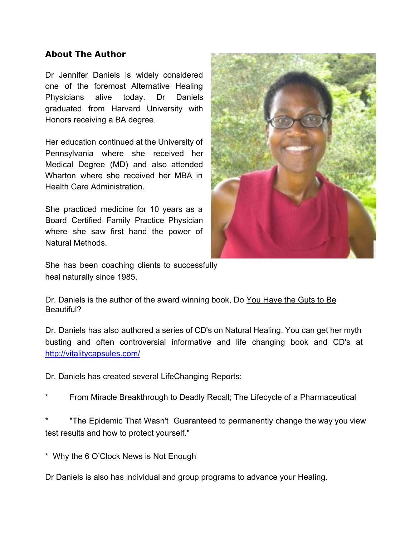#### **About The Author**

Dr Jennifer Daniels is widely considered one of the foremost Alternative Healing Physicians alive today. Dr Daniels graduated from Harvard University with Honors receiving a BA degree.

Her education continued at the University of Pennsylvania where she received her Medical Degree (MD) and also attended Wharton where she received her MBA in Health Care Administration.

She practiced medicine for 10 years as a Board Certified Family Practice Physician where she saw first hand the power of Natural Methods.



She has been coaching clients to successfully heal naturally since 1985.

Dr. Daniels is the author of the award winning book, Do You Have the Guts to Be Beautiful?

Dr. Daniels has also authored a series of CD's on Natural Healing. You can get her myth busting and often controversial informative and life changing book and CD's at http://vitalitycapsules.com/

Dr. Daniels has created several LifeChanging Reports:

From Miracle Breakthrough to Deadly Recall; The Lifecycle of a Pharmaceutical

"The Epidemic That Wasn't Guaranteed to permanently change the way you view test results and how to protect yourself."

\* Why the 6 O'Clock News is Not Enough

Dr Daniels is also has individual and group programs to advance your Healing.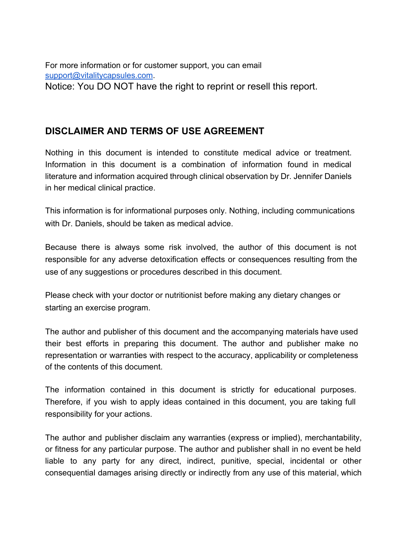For more information or for customer support, you can email support@vitalitycapsules.com. Notice: You DO NOT have the right to reprint or resell this report.

# **DISCLAIMER AND TERMS OF USE AGREEMENT**

Nothing in this document is intended to constitute medical advice or treatment. Information in this document is a combination of information found in medical literature and information acquired through clinical observation by Dr. Jennifer Daniels in her medical clinical practice.

This information is for informational purposes only. Nothing, including communications with Dr. Daniels, should be taken as medical advice.

Because there is always some risk involved, the author of this document is not responsible for any adverse detoxification effects or consequences resulting from the use of any suggestions or procedures described in this document.

Please check with your doctor or nutritionist before making any dietary changes or starting an exercise program.

The author and publisher of this document and the accompanying materials have used their best efforts in preparing this document. The author and publisher make no representation or warranties with respect to the accuracy, applicability or completeness of the contents of this document.

The information contained in this document is strictly for educational purposes. Therefore, if you wish to apply ideas contained in this document, you are taking full responsibility for your actions.

The author and publisher disclaim any warranties (express or implied), merchantability, or fitness for any particular purpose. The author and publisher shall in no event be held liable to any party for any direct, indirect, punitive, special, incidental or other consequential damages arising directly or indirectly from any use of this material, which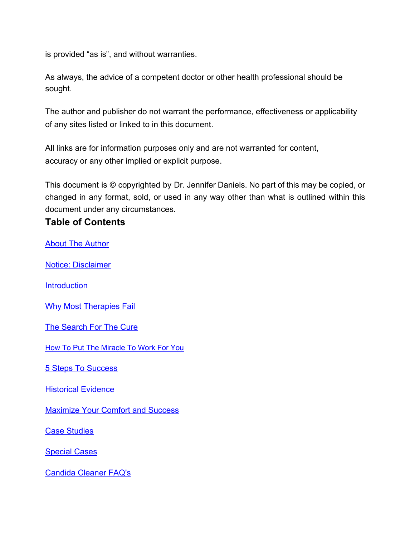is provided "as is", and without warranties.

As always, the advice of a competent doctor or other health professional should be sought.

The author and publisher do not warrant the performance, effectiveness or applicability of any sites listed or linked to in this document.

All links are for information purposes only and are not warranted for content, accuracy or any other implied or explicit purpose.

This document is © copyrighted by Dr. Jennifer Daniels. No part of this may be copied, or changed in any format, sold, or used in any way other than what is outlined within this document under any circumstances.

# **Table of Contents**

**About The Author** 

Notice: Disclaimer

**Introduction** 

Why Most Therapies Fail

The Search For The Cure

How To Put The Miracle To Work For You

5 Steps To Success

Historical Evidence

**Maximize Your Comfort and Success** 

Case Studies

Special Cases

Candida Cleaner FAQ's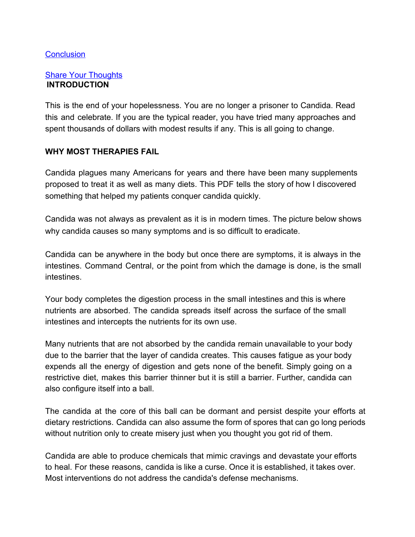#### **Conclusion**

#### Share Your Thoughts **INTRODUCTION**

This is the end of your hopelessness. You are no longer a prisoner to Candida. Read this and celebrate. If you are the typical reader, you have tried many approaches and spent thousands of dollars with modest results if any. This is all going to change.

#### **WHY MOST THERAPIES FAIL**

Candida plagues many Americans for years and there have been many supplements proposed to treat it as well as many diets. This PDF tells the story of how I discovered something that helped my patients conquer candida quickly.

Candida was not always as prevalent as it is in modern times. The picture below shows why candida causes so many symptoms and is so difficult to eradicate.

Candida can be anywhere in the body but once there are symptoms, it is always in the intestines. Command Central, or the point from which the damage is done, is the small intestines.

Your body completes the digestion process in the small intestines and this is where nutrients are absorbed. The candida spreads itself across the surface of the small intestines and intercepts the nutrients for its own use.

Many nutrients that are not absorbed by the candida remain unavailable to your body due to the barrier that the layer of candida creates. This causes fatigue as your body expends all the energy of digestion and gets none of the benefit. Simply going on a restrictive diet, makes this barrier thinner but it is still a barrier. Further, candida can also configure itself into a ball.

The candida at the core of this ball can be dormant and persist despite your efforts at dietary restrictions. Candida can also assume the form of spores that can go long periods without nutrition only to create misery just when you thought you got rid of them.

Candida are able to produce chemicals that mimic cravings and devastate your efforts to heal. For these reasons, candida is like a curse. Once it is established, it takes over. Most interventions do not address the candida's defense mechanisms.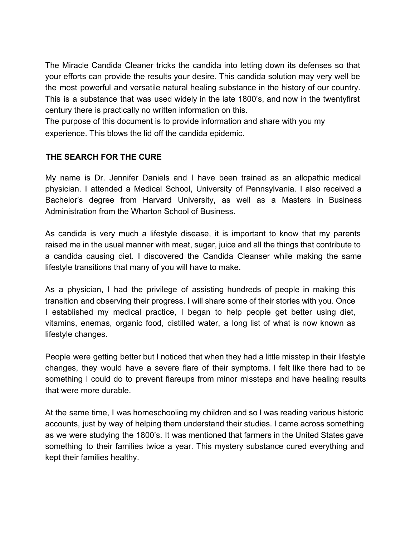The Miracle Candida Cleaner tricks the candida into letting down its defenses so that your efforts can provide the results your desire. This candida solution may very well be the most powerful and versatile natural healing substance in the history of our country. This is a substance that was used widely in the late 1800's, and now in the twentyfirst century there is practically no written information on this.

The purpose of this document is to provide information and share with you my experience. This blows the lid off the candida epidemic.

#### **THE SEARCH FOR THE CURE**

My name is Dr. Jennifer Daniels and I have been trained as an allopathic medical physician. I attended a Medical School, University of Pennsylvania. I also received a Bachelor's degree from Harvard University, as well as a Masters in Business Administration from the Wharton School of Business.

As candida is very much a lifestyle disease, it is important to know that my parents raised me in the usual manner with meat, sugar, juice and all the things that contribute to a candida causing diet. I discovered the Candida Cleanser while making the same lifestyle transitions that many of you will have to make.

As a physician, I had the privilege of assisting hundreds of people in making this transition and observing their progress. I will share some of their stories with you. Once I established my medical practice, I began to help people get better using diet, vitamins, enemas, organic food, distilled water, a long list of what is now known as lifestyle changes.

People were getting better but I noticed that when they had a little misstep in their lifestyle changes, they would have a severe flare of their symptoms. I felt like there had to be something I could do to prevent flareups from minor missteps and have healing results that were more durable.

At the same time, I was homeschooling my children and so I was reading various historic accounts, just by way of helping them understand their studies. I came across something as we were studying the 1800's. It was mentioned that farmers in the United States gave something to their families twice a year. This mystery substance cured everything and kept their families healthy.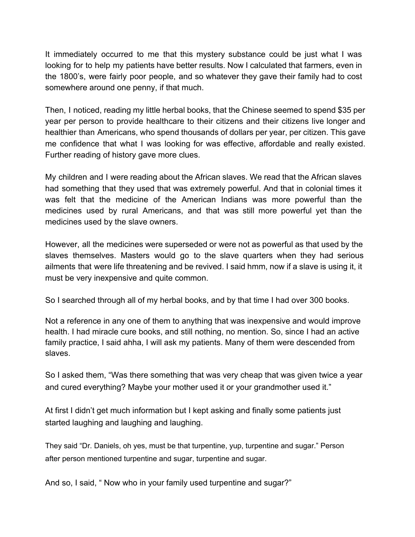It immediately occurred to me that this mystery substance could be just what I was looking for to help my patients have better results. Now I calculated that farmers, even in the 1800's, were fairly poor people, and so whatever they gave their family had to cost somewhere around one penny, if that much.

Then, I noticed, reading my little herbal books, that the Chinese seemed to spend \$35 per year per person to provide healthcare to their citizens and their citizens live longer and healthier than Americans, who spend thousands of dollars per year, per citizen. This gave me confidence that what I was looking for was effective, affordable and really existed. Further reading of history gave more clues.

My children and I were reading about the African slaves. We read that the African slaves had something that they used that was extremely powerful. And that in colonial times it was felt that the medicine of the American Indians was more powerful than the medicines used by rural Americans, and that was still more powerful yet than the medicines used by the slave owners.

However, all the medicines were superseded or were not as powerful as that used by the slaves themselves. Masters would go to the slave quarters when they had serious ailments that were life threatening and be revived. I said hmm, now if a slave is using it, it must be very inexpensive and quite common.

So I searched through all of my herbal books, and by that time I had over 300 books.

Not a reference in any one of them to anything that was inexpensive and would improve health. I had miracle cure books, and still nothing, no mention. So, since I had an active family practice, I said ahha, I will ask my patients. Many of them were descended from slaves.

So I asked them, "Was there something that was very cheap that was given twice a year and cured everything? Maybe your mother used it or your grandmother used it."

At first I didn't get much information but I kept asking and finally some patients just started laughing and laughing and laughing.

They said "Dr. Daniels, oh yes, must be that turpentine, yup, turpentine and sugar." Person after person mentioned turpentine and sugar, turpentine and sugar.

And so, I said, " Now who in your family used turpentine and sugar?"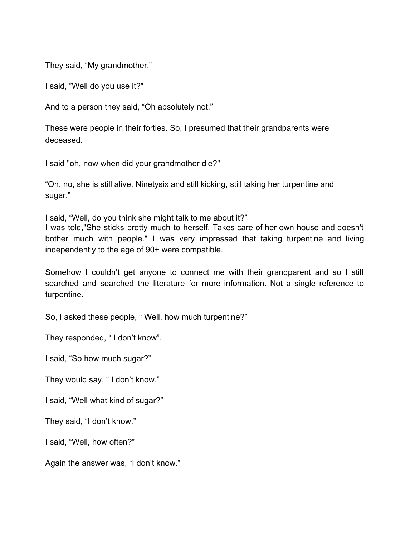They said, "My grandmother."

I said, "Well do you use it?"

And to a person they said, "Oh absolutely not."

These were people in their forties. So, I presumed that their grandparents were deceased.

I said "oh, now when did your grandmother die?"

"Oh, no, she is still alive. Ninetysix and still kicking, still taking her turpentine and sugar."

I said, "Well, do you think she might talk to me about it?"

I was told,"She sticks pretty much to herself. Takes care of her own house and doesn't bother much with people." I was very impressed that taking turpentine and living independently to the age of 90+ were compatible.

Somehow I couldn't get anyone to connect me with their grandparent and so I still searched and searched the literature for more information. Not a single reference to turpentine.

So, I asked these people, " Well, how much turpentine?"

They responded, " I don't know".

I said, "So how much sugar?"

They would say, " I don't know."

I said, "Well what kind of sugar?"

They said, "I don't know."

I said, "Well, how often?"

Again the answer was, "I don't know."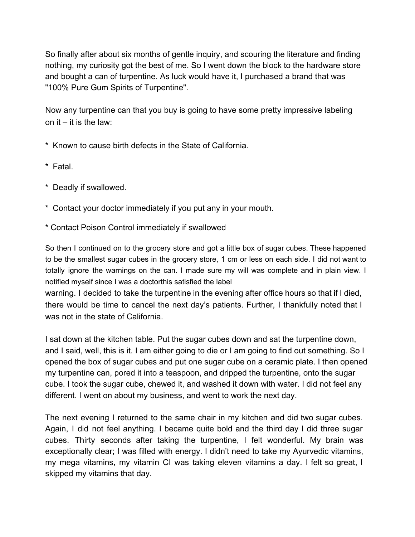So finally after about six months of gentle inquiry, and scouring the literature and finding nothing, my curiosity got the best of me. So I went down the block to the hardware store and bought a can of turpentine. As luck would have it, I purchased a brand that was "100% Pure Gum Spirits of Turpentine".

Now any turpentine can that you buy is going to have some pretty impressive labeling on it  $-$  it is the law:

- \* Known to cause birth defects in the State of California.
- \* Fatal.
- \* Deadly if swallowed.
- \* Contact your doctor immediately if you put any in your mouth.
- \* Contact Poison Control immediately if swallowed

So then I continued on to the grocery store and got a little box of sugar cubes. These happened to be the smallest sugar cubes in the grocery store, 1 cm or less on each side. I did not want to totally ignore the warnings on the can. I made sure my will was complete and in plain view. I notified myself since I was a doctorthis satisfied the label

warning. I decided to take the turpentine in the evening after office hours so that if I died, there would be time to cancel the next day's patients. Further, I thankfully noted that I was not in the state of California.

I sat down at the kitchen table. Put the sugar cubes down and sat the turpentine down, and I said, well, this is it. I am either going to die or I am going to find out something. So I opened the box of sugar cubes and put one sugar cube on a ceramic plate. I then opened my turpentine can, pored it into a teaspoon, and dripped the turpentine, onto the sugar cube. I took the sugar cube, chewed it, and washed it down with water. I did not feel any different. I went on about my business, and went to work the next day.

The next evening I returned to the same chair in my kitchen and did two sugar cubes. Again, I did not feel anything. I became quite bold and the third day I did three sugar cubes. Thirty seconds after taking the turpentine, I felt wonderful. My brain was exceptionally clear; I was filled with energy. I didn't need to take my Ayurvedic vitamins, my mega vitamins, my vitamin CI was taking eleven vitamins a day. I felt so great, I skipped my vitamins that day.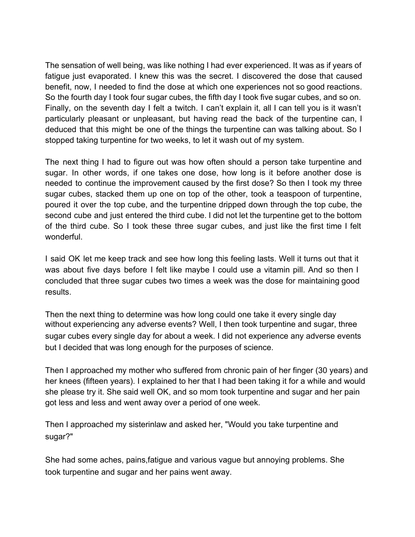The sensation of well being, was like nothing I had ever experienced. It was as if years of fatigue just evaporated. I knew this was the secret. I discovered the dose that caused benefit, now, I needed to find the dose at which one experiences not so good reactions. So the fourth day I took four sugar cubes, the fifth day I took five sugar cubes, and so on. Finally, on the seventh day I felt a twitch. I can't explain it, all I can tell you is it wasn't particularly pleasant or unpleasant, but having read the back of the turpentine can, I deduced that this might be one of the things the turpentine can was talking about. So I stopped taking turpentine for two weeks, to let it wash out of my system.

The next thing I had to figure out was how often should a person take turpentine and sugar. In other words, if one takes one dose, how long is it before another dose is needed to continue the improvement caused by the first dose? So then I took my three sugar cubes, stacked them up one on top of the other, took a teaspoon of turpentine, poured it over the top cube, and the turpentine dripped down through the top cube, the second cube and just entered the third cube. I did not let the turpentine get to the bottom of the third cube. So I took these three sugar cubes, and just like the first time I felt wonderful.

I said OK let me keep track and see how long this feeling lasts. Well it turns out that it was about five days before I felt like maybe I could use a vitamin pill. And so then I concluded that three sugar cubes two times a week was the dose for maintaining good results.

Then the next thing to determine was how long could one take it every single day without experiencing any adverse events? Well, I then took turpentine and sugar, three sugar cubes every single day for about a week. I did not experience any adverse events but I decided that was long enough for the purposes of science.

Then I approached my mother who suffered from chronic pain of her finger (30 years) and her knees (fifteen years). I explained to her that I had been taking it for a while and would she please try it. She said well OK, and so mom took turpentine and sugar and her pain got less and less and went away over a period of one week.

Then I approached my sisterinlaw and asked her, "Would you take turpentine and sugar?"

She had some aches, pains,fatigue and various vague but annoying problems. She took turpentine and sugar and her pains went away.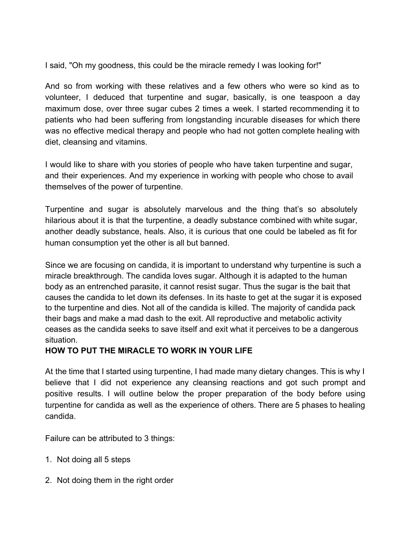I said, "Oh my goodness, this could be the miracle remedy I was looking for!"

And so from working with these relatives and a few others who were so kind as to volunteer, I deduced that turpentine and sugar, basically, is one teaspoon a day maximum dose, over three sugar cubes 2 times a week. I started recommending it to patients who had been suffering from longstanding incurable diseases for which there was no effective medical therapy and people who had not gotten complete healing with diet, cleansing and vitamins.

I would like to share with you stories of people who have taken turpentine and sugar, and their experiences. And my experience in working with people who chose to avail themselves of the power of turpentine.

Turpentine and sugar is absolutely marvelous and the thing that's so absolutely hilarious about it is that the turpentine, a deadly substance combined with white sugar, another deadly substance, heals. Also, it is curious that one could be labeled as fit for human consumption yet the other is all but banned.

Since we are focusing on candida, it is important to understand why turpentine is such a miracle breakthrough. The candida loves sugar. Although it is adapted to the human body as an entrenched parasite, it cannot resist sugar. Thus the sugar is the bait that causes the candida to let down its defenses. In its haste to get at the sugar it is exposed to the turpentine and dies. Not all of the candida is killed. The majority of candida pack their bags and make a mad dash to the exit. All reproductive and metabolic activity ceases as the candida seeks to save itself and exit what it perceives to be a dangerous situation.

# **HOW TO PUT THE MIRACLE TO WORK IN YOUR LIFE**

At the time that I started using turpentine, I had made many dietary changes. This is why I believe that I did not experience any cleansing reactions and got such prompt and positive results. I will outline below the proper preparation of the body before using turpentine for candida as well as the experience of others. There are 5 phases to healing candida.

Failure can be attributed to 3 things:

- 1. Not doing all 5 steps
- 2. Not doing them in the right order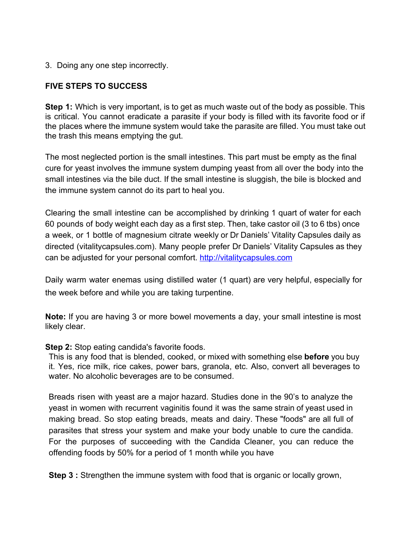3. Doing any one step incorrectly.

## **FIVE STEPS TO SUCCESS**

**Step 1:** Which is very important, is to get as much waste out of the body as possible. This is critical. You cannot eradicate a parasite if your body is filled with its favorite food or if the places where the immune system would take the parasite are filled. You must take out the trash this means emptying the gut.

The most neglected portion is the small intestines. This part must be empty as the final cure for yeast involves the immune system dumping yeast from all over the body into the small intestines via the bile duct. If the small intestine is sluggish, the bile is blocked and the immune system cannot do its part to heal you.

Clearing the small intestine can be accomplished by drinking 1 quart of water for each 60 pounds of body weight each day as a first step. Then, take castor oil (3 to 6 tbs) once a week, or 1 bottle of magnesium citrate weekly or Dr Daniels' Vitality Capsules daily as directed (vitalitycapsules.com). Many people prefer Dr Daniels' Vitality Capsules as they can be adjusted for your personal comfort. http://vitalitycapsules.com

Daily warm water enemas using distilled water (1 quart) are very helpful, especially for the week before and while you are taking turpentine.

**Note:** If you are having 3 or more bowel movements a day, your small intestine is most likely clear.

**Step 2:** Stop eating candida's favorite foods.

This is any food that is blended, cooked, or mixed with something else **before** you buy it. Yes, rice milk, rice cakes, power bars, granola, etc. Also, convert all beverages to water. No alcoholic beverages are to be consumed.

Breads risen with yeast are a major hazard. Studies done in the 90's to analyze the yeast in women with recurrent vaginitis found it was the same strain of yeast used in making bread. So stop eating breads, meats and dairy. These "foods" are all full of parasites that stress your system and make your body unable to cure the candida. For the purposes of succeeding with the Candida Cleaner, you can reduce the offending foods by 50% for a period of 1 month while you have

**Step 3 :** Strengthen the immune system with food that is organic or locally grown,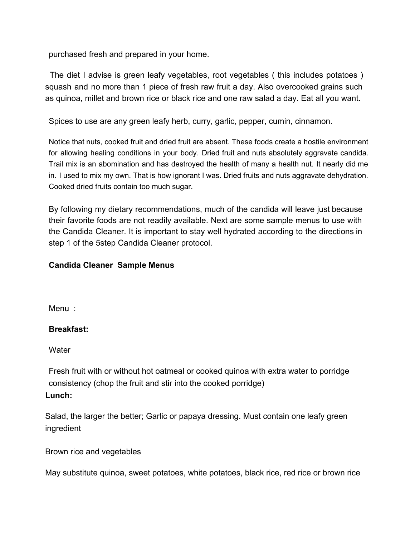purchased fresh and prepared in your home.

The diet I advise is green leafy vegetables, root vegetables ( this includes potatoes ) squash and no more than 1 piece of fresh raw fruit a day. Also overcooked grains such as quinoa, millet and brown rice or black rice and one raw salad a day. Eat all you want.

Spices to use are any green leafy herb, curry, garlic, pepper, cumin, cinnamon.

Notice that nuts, cooked fruit and dried fruit are absent. These foods create a hostile environment for allowing healing conditions in your body. Dried fruit and nuts absolutely aggravate candida. Trail mix is an abomination and has destroyed the health of many a health nut. It nearly did me in. I used to mix my own. That is how ignorant I was. Dried fruits and nuts aggravate dehydration. Cooked dried fruits contain too much sugar.

By following my dietary recommendations, much of the candida will leave just because their favorite foods are not readily available. Next are some sample menus to use with the Candida Cleaner. It is important to stay well hydrated according to the directions in step 1 of the 5step Candida Cleaner protocol.

#### **Candida Cleaner Sample Menus**

Menu :

#### **Breakfast:**

**Water** 

Fresh fruit with or without hot oatmeal or cooked quinoa with extra water to porridge consistency (chop the fruit and stir into the cooked porridge) **Lunch:**

Salad, the larger the better; Garlic or papaya dressing. Must contain one leafy green ingredient

Brown rice and vegetables

May substitute quinoa, sweet potatoes, white potatoes, black rice, red rice or brown rice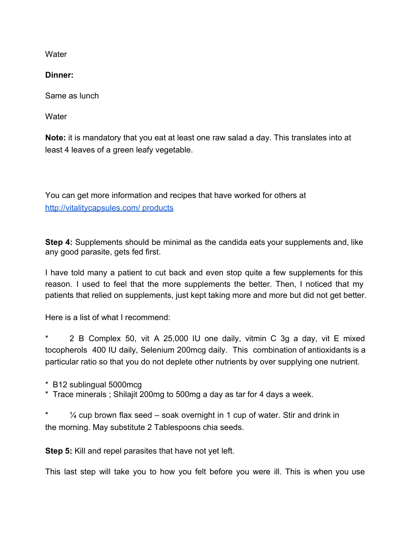**Water** 

**Dinner:**

Same as lunch

**Water** 

**Note:** it is mandatory that you eat at least one raw salad a day. This translates into at least 4 leaves of a green leafy vegetable.

You can get more information and recipes that have worked for others at http://vitalitycapsules.com/ products

**Step 4:** Supplements should be minimal as the candida eats your supplements and, like any good parasite, gets fed first.

I have told many a patient to cut back and even stop quite a few supplements for this reason. I used to feel that the more supplements the better. Then, I noticed that my patients that relied on supplements, just kept taking more and more but did not get better.

Here is a list of what I recommend:

2 B Complex 50, vit A 25,000 IU one daily, vitmin C 3g a day, vit E mixed tocopherols 400 IU daily, Selenium 200mcg daily. This combination of antioxidants is a particular ratio so that you do not deplete other nutrients by over supplying one nutrient.

\* B12 sublingual 5000mcg

\* Trace minerals ; Shilajit 200mg to 500mg a day as tar for 4 days a week.

 $*$   $\frac{1}{4}$  cup brown flax seed – soak overnight in 1 cup of water. Stir and drink in the morning. May substitute 2 Tablespoons chia seeds.

**Step 5:** Kill and repel parasites that have not yet left.

This last step will take you to how you felt before you were ill. This is when you use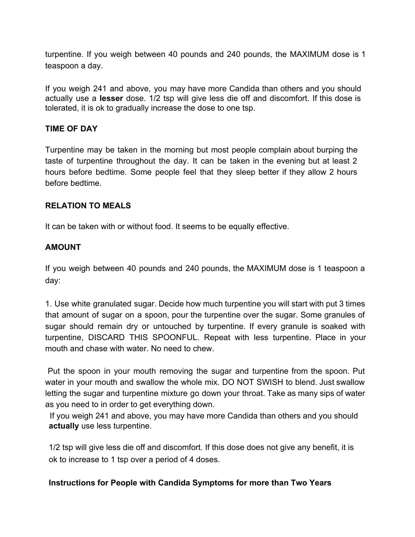turpentine. If you weigh between 40 pounds and 240 pounds, the MAXIMUM dose is 1 teaspoon a day.

If you weigh 241 and above, you may have more Candida than others and you should actually use a **lesser** dose. 1/2 tsp will give less die off and discomfort. If this dose is tolerated, it is ok to gradually increase the dose to one tsp.

## **TIME OF DAY**

Turpentine may be taken in the morning but most people complain about burping the taste of turpentine throughout the day. It can be taken in the evening but at least 2 hours before bedtime. Some people feel that they sleep better if they allow 2 hours before bedtime.

#### **RELATION TO MEALS**

It can be taken with or without food. It seems to be equally effective.

# **AMOUNT**

If you weigh between 40 pounds and 240 pounds, the MAXIMUM dose is 1 teaspoon a day:

1. Use white granulated sugar. Decide how much turpentine you will start with put 3 times that amount of sugar on a spoon, pour the turpentine over the sugar. Some granules of sugar should remain dry or untouched by turpentine. If every granule is soaked with turpentine, DISCARD THIS SPOONFUL. Repeat with less turpentine. Place in your mouth and chase with water. No need to chew.

Put the spoon in your mouth removing the sugar and turpentine from the spoon. Put water in your mouth and swallow the whole mix. DO NOT SWISH to blend. Just swallow letting the sugar and turpentine mixture go down your throat. Take as many sips of water as you need to in order to get everything down.

If you weigh 241 and above, you may have more Candida than others and you should **actually** use less turpentine.

1/2 tsp will give less die off and discomfort. If this dose does not give any benefit, it is ok to increase to 1 tsp over a period of 4 doses.

#### **Instructions for People with Candida Symptoms for more than Two Years**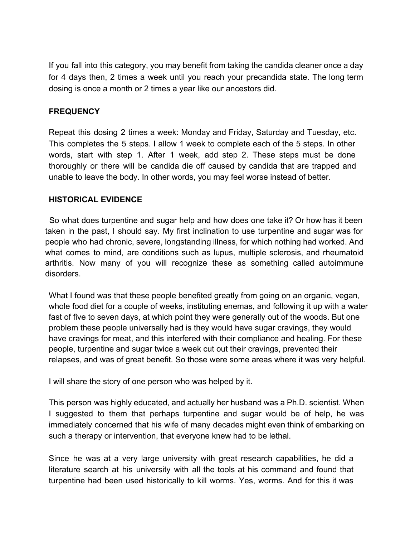If you fall into this category, you may benefit from taking the candida cleaner once a day for 4 days then, 2 times a week until you reach your precandida state. The long term dosing is once a month or 2 times a year like our ancestors did.

#### **FREQUENCY**

Repeat this dosing 2 times a week: Monday and Friday, Saturday and Tuesday, etc. This completes the 5 steps. I allow 1 week to complete each of the 5 steps. In other words, start with step 1. After 1 week, add step 2. These steps must be done thoroughly or there will be candida die off caused by candida that are trapped and unable to leave the body. In other words, you may feel worse instead of better.

#### **HISTORICAL EVIDENCE**

So what does turpentine and sugar help and how does one take it? Or how has it been taken in the past, I should say. My first inclination to use turpentine and sugar was for people who had chronic, severe, longstanding illness, for which nothing had worked. And what comes to mind, are conditions such as lupus, multiple sclerosis, and rheumatoid arthritis. Now many of you will recognize these as something called autoimmune disorders.

What I found was that these people benefited greatly from going on an organic, vegan, whole food diet for a couple of weeks, instituting enemas, and following it up with a water fast of five to seven days, at which point they were generally out of the woods. But one problem these people universally had is they would have sugar cravings, they would have cravings for meat, and this interfered with their compliance and healing. For these people, turpentine and sugar twice a week cut out their cravings, prevented their relapses, and was of great benefit. So those were some areas where it was very helpful.

I will share the story of one person who was helped by it.

This person was highly educated, and actually her husband was a Ph.D. scientist. When I suggested to them that perhaps turpentine and sugar would be of help, he was immediately concerned that his wife of many decades might even think of embarking on such a therapy or intervention, that everyone knew had to be lethal.

Since he was at a very large university with great research capabilities, he did a literature search at his university with all the tools at his command and found that turpentine had been used historically to kill worms. Yes, worms. And for this it was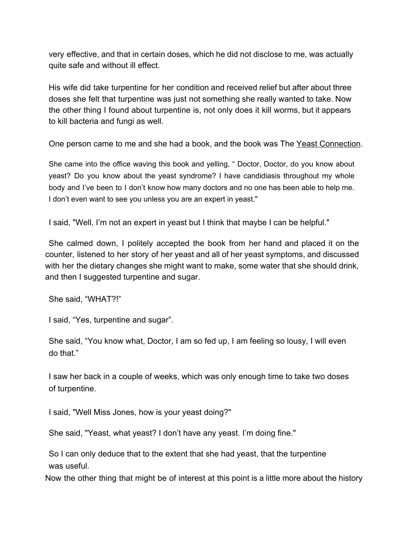very effective, and that in certain doses, which he did not disclose to me, was actually quite safe and without ill effect.

His wife did take turpentine for her condition and received relief but after about three doses she felt that turpentine was just not something she really wanted to take. Now the other thing I found about turpentine is, not only does it kill worms, but it appears to kill bacteria and fungi as well.

One person came to me and she had a book, and the book was The Yeast Connection.

She came into the office waving this book and yelling, " Doctor, Doctor, do you know about yeast? Do you know about the yeast syndrome? I have candidiasis throughout my whole body and I've been to I don't know how many doctors and no one has been able to help me. I don't even want to see you unless you are an expert in yeast."

I said, "Well, I'm not an expert in yeast but I think that maybe I can be helpful."

She calmed down, I politely accepted the book from her hand and placed it on the counter, listened to her story of her yeast and all of her yeast symptoms, and discussed with her the dietary changes she might want to make, some water that she should drink, and then I suggested turpentine and sugar.

She said, "WHAT?!"

I said, "Yes, turpentine and sugar".

She said, "You know what, Doctor, I am so fed up, I am feeling so lousy, I will even do that."

I saw her back in a couple of weeks, which was only enough time to take two doses of turpentine.

I said, "Well Miss Jones, how is your yeast doing?"

She said, "Yeast, what yeast? I don't have any yeast. I'm doing fine."

So I can only deduce that to the extent that she had yeast, that the turpentine was useful.

Now the other thing that might be of interest at this point is a little more about the history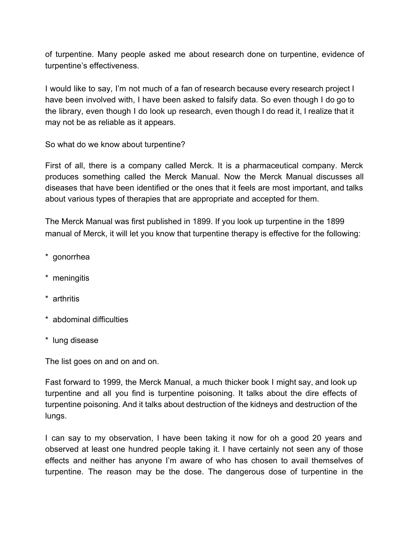of turpentine. Many people asked me about research done on turpentine, evidence of turpentine's effectiveness.

I would like to say, I'm not much of a fan of research because every research project I have been involved with, I have been asked to falsify data. So even though I do go to the library, even though I do look up research, even though I do read it, I realize that it may not be as reliable as it appears.

So what do we know about turpentine?

First of all, there is a company called Merck. It is a pharmaceutical company. Merck produces something called the Merck Manual. Now the Merck Manual discusses all diseases that have been identified or the ones that it feels are most important, and talks about various types of therapies that are appropriate and accepted for them.

The Merck Manual was first published in 1899. If you look up turpentine in the 1899 manual of Merck, it will let you know that turpentine therapy is effective for the following:

- \* gonorrhea
- \* meningitis
- \* arthritis
- \* abdominal difficulties
- \* lung disease

The list goes on and on and on.

Fast forward to 1999, the Merck Manual, a much thicker book I might say, and look up turpentine and all you find is turpentine poisoning. It talks about the dire effects of turpentine poisoning. And it talks about destruction of the kidneys and destruction of the lungs.

I can say to my observation, I have been taking it now for oh a good 20 years and observed at least one hundred people taking it. I have certainly not seen any of those effects and neither has anyone I'm aware of who has chosen to avail themselves of turpentine. The reason may be the dose. The dangerous dose of turpentine in the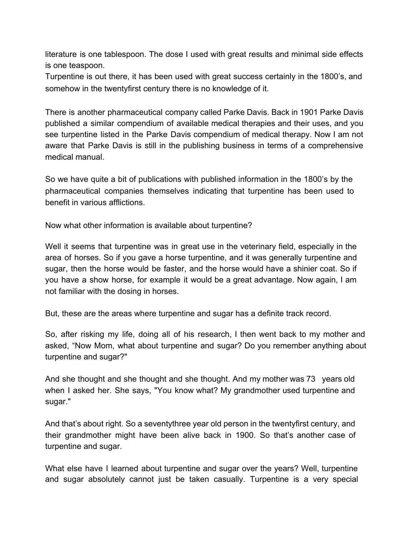literature is one tablespoon. The dose I used with great results and minimal side effects is one teaspoon.

Turpentine is out there, it has been used with great success certainly in the 1800's, and somehow in the twentyfirst century there is no knowledge of it.

There is another pharmaceutical company called Parke Davis. Back in 1901 Parke Davis published a similar compendium of available medical therapies and their uses, and you see turpentine listed in the Parke Davis compendium of medical therapy. Now I am not aware that Parke Davis is still in the publishing business in terms of a comprehensive medical manual.

So we have quite a bit of publications with published information in the 1800's by the pharmaceutical companies themselves indicating that turpentine has been used to benefit in various afflictions.

Now what other information is available about turpentine?

Well it seems that turpentine was in great use in the veterinary field, especially in the area of horses. So if you gave a horse turpentine, and it was generally turpentine and sugar, then the horse would be faster, and the horse would have a shinier coat. So if you have a show horse, for example it would be a great advantage. Now again, I am not familiar with the dosing in horses.

But, these are the areas where turpentine and sugar has a definite track record.

So, after risking my life, doing all of his research, I then went back to my mother and asked, "Now Mom, what about turpentine and sugar? Do you remember anything about turpentine and sugar?"

And she thought and she thought and she thought. And my mother was 73 years old when I asked her. She says, "You know what? My grandmother used turpentine and sugar."

And that's about right. So a seventythree year old person in the twentyfirst century, and their grandmother might have been alive back in 1900. So that's another case of turpentine and sugar.

What else have I learned about turpentine and sugar over the years? Well, turpentine and sugar absolutely cannot just be taken casually. Turpentine is a very special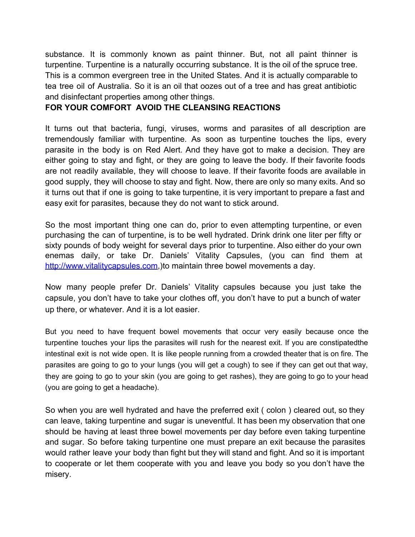substance. It is commonly known as paint thinner. But, not all paint thinner is turpentine. Turpentine is a naturally occurring substance. It is the oil of the spruce tree. This is a common evergreen tree in the United States. And it is actually comparable to tea tree oil of Australia. So it is an oil that oozes out of a tree and has great antibiotic and disinfectant properties among other things.

#### **FOR YOUR COMFORT AVOID THE CLEANSING REACTIONS**

It turns out that bacteria, fungi, viruses, worms and parasites of all description are tremendously familiar with turpentine. As soon as turpentine touches the lips, every parasite in the body is on Red Alert. And they have got to make a decision. They are either going to stay and fight, or they are going to leave the body. If their favorite foods are not readily available, they will choose to leave. If their favorite foods are available in good supply, they will choose to stay and fight. Now, there are only so many exits. And so it turns out that if one is going to take turpentine, it is very important to prepare a fast and easy exit for parasites, because they do not want to stick around.

So the most important thing one can do, prior to even attempting turpentine, or even purchasing the can of turpentine, is to be well hydrated. Drink drink one liter per fifty or sixty pounds of body weight for several days prior to turpentine. Also either do your own enemas daily, or take Dr. Daniels' Vitality Capsules, (you can find them at http://www.vitalitycapsules.com, ) to maintain three bowel movements a day.

Now many people prefer Dr. Daniels' Vitality capsules because you just take the capsule, you don't have to take your clothes off, you don't have to put a bunch of water up there, or whatever. And it is a lot easier.

But you need to have frequent bowel movements that occur very easily because once the turpentine touches your lips the parasites will rush for the nearest exit. If you are constipatedthe intestinal exit is not wide open. It is like people running from a crowded theater that is on fire. The parasites are going to go to your lungs (you will get a cough) to see if they can get out that way, they are going to go to your skin (you are going to get rashes), they are going to go to your head (you are going to get a headache).

So when you are well hydrated and have the preferred exit ( colon ) cleared out, so they can leave, taking turpentine and sugar is uneventful. It has been my observation that one should be having at least three bowel movements per day before even taking turpentine and sugar. So before taking turpentine one must prepare an exit because the parasites would rather leave your body than fight but they will stand and fight. And so it is important to cooperate or let them cooperate with you and leave you body so you don't have the misery.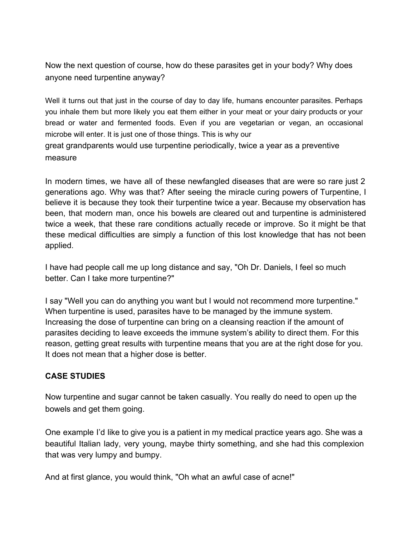Now the next question of course, how do these parasites get in your body? Why does anyone need turpentine anyway?

Well it turns out that just in the course of day to day life, humans encounter parasites. Perhaps you inhale them but more likely you eat them either in your meat or your dairy products or your bread or water and fermented foods. Even if you are vegetarian or vegan, an occasional microbe will enter. It is just one of those things. This is why our great grandparents would use turpentine periodically, twice a year as a preventive measure

In modern times, we have all of these newfangled diseases that are were so rare just 2 generations ago. Why was that? After seeing the miracle curing powers of Turpentine, I believe it is because they took their turpentine twice a year. Because my observation has been, that modern man, once his bowels are cleared out and turpentine is administered twice a week, that these rare conditions actually recede or improve. So it might be that these medical difficulties are simply a function of this lost knowledge that has not been applied.

I have had people call me up long distance and say, "Oh Dr. Daniels, I feel so much better. Can I take more turpentine?"

I say "Well you can do anything you want but I would not recommend more turpentine." When turpentine is used, parasites have to be managed by the immune system. Increasing the dose of turpentine can bring on a cleansing reaction if the amount of parasites deciding to leave exceeds the immune system's ability to direct them. For this reason, getting great results with turpentine means that you are at the right dose for you. It does not mean that a higher dose is better.

#### **CASE STUDIES**

Now turpentine and sugar cannot be taken casually. You really do need to open up the bowels and get them going.

One example I'd like to give you is a patient in my medical practice years ago. She was a beautiful Italian lady, very young, maybe thirty something, and she had this complexion that was very lumpy and bumpy.

And at first glance, you would think, "Oh what an awful case of acne!"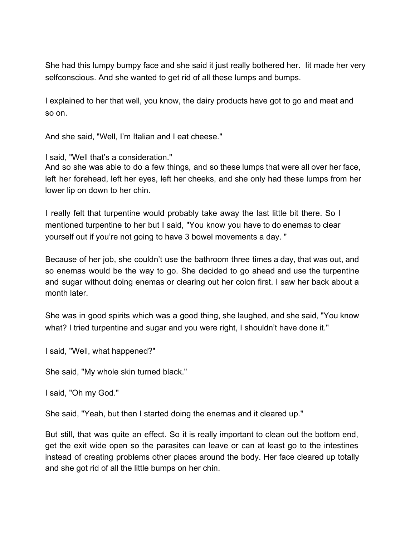She had this lumpy bumpy face and she said it just really bothered her. Iit made her very selfconscious. And she wanted to get rid of all these lumps and bumps.

I explained to her that well, you know, the dairy products have got to go and meat and so on.

And she said, "Well, I'm Italian and I eat cheese."

I said, "Well that's a consideration."

And so she was able to do a few things, and so these lumps that were all over her face, left her forehead, left her eyes, left her cheeks, and she only had these lumps from her lower lip on down to her chin.

I really felt that turpentine would probably take away the last little bit there. So I mentioned turpentine to her but I said, "You know you have to do enemas to clear yourself out if you're not going to have 3 bowel movements a day. "

Because of her job, she couldn't use the bathroom three times a day, that was out, and so enemas would be the way to go. She decided to go ahead and use the turpentine and sugar without doing enemas or clearing out her colon first. I saw her back about a month later.

She was in good spirits which was a good thing, she laughed, and she said, "You know what? I tried turpentine and sugar and you were right, I shouldn't have done it."

I said, "Well, what happened?"

She said, "My whole skin turned black."

I said, "Oh my God."

She said, "Yeah, but then I started doing the enemas and it cleared up."

But still, that was quite an effect. So it is really important to clean out the bottom end, get the exit wide open so the parasites can leave or can at least go to the intestines instead of creating problems other places around the body. Her face cleared up totally and she got rid of all the little bumps on her chin.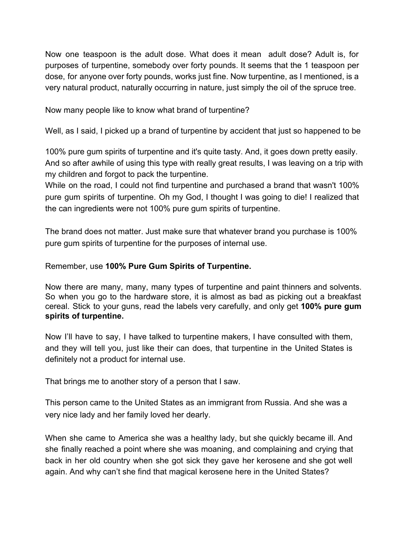Now one teaspoon is the adult dose. What does it mean adult dose? Adult is, for purposes of turpentine, somebody over forty pounds. It seems that the 1 teaspoon per dose, for anyone over forty pounds, works just fine. Now turpentine, as I mentioned, is a very natural product, naturally occurring in nature, just simply the oil of the spruce tree.

Now many people like to know what brand of turpentine?

Well, as I said, I picked up a brand of turpentine by accident that just so happened to be

100% pure gum spirits of turpentine and it's quite tasty. And, it goes down pretty easily. And so after awhile of using this type with really great results, I was leaving on a trip with my children and forgot to pack the turpentine.

While on the road, I could not find turpentine and purchased a brand that wasn't 100% pure gum spirits of turpentine. Oh my God, I thought I was going to die! I realized that the can ingredients were not 100% pure gum spirits of turpentine.

The brand does not matter. Just make sure that whatever brand you purchase is 100% pure gum spirits of turpentine for the purposes of internal use.

#### Remember, use **100% Pure Gum Spirits of Turpentine.**

Now there are many, many, many types of turpentine and paint thinners and solvents. So when you go to the hardware store, it is almost as bad as picking out a breakfast cereal. Stick to your guns, read the labels very carefully, and only get **100% pure gum spirits of turpentine.**

Now I'll have to say, I have talked to turpentine makers, I have consulted with them, and they will tell you, just like their can does, that turpentine in the United States is definitely not a product for internal use.

That brings me to another story of a person that I saw.

This person came to the United States as an immigrant from Russia. And she was a very nice lady and her family loved her dearly.

When she came to America she was a healthy lady, but she quickly became ill. And she finally reached a point where she was moaning, and complaining and crying that back in her old country when she got sick they gave her kerosene and she got well again. And why can't she find that magical kerosene here in the United States?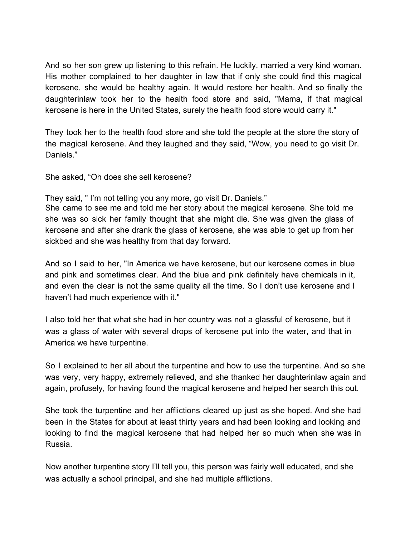And so her son grew up listening to this refrain. He luckily, married a very kind woman. His mother complained to her daughter in law that if only she could find this magical kerosene, she would be healthy again. It would restore her health. And so finally the daughterinlaw took her to the health food store and said, "Mama, if that magical kerosene is here in the United States, surely the health food store would carry it."

They took her to the health food store and she told the people at the store the story of the magical kerosene. And they laughed and they said, "Wow, you need to go visit Dr. Daniels."

She asked, "Oh does she sell kerosene?

They said, " I'm not telling you any more, go visit Dr. Daniels."

She came to see me and told me her story about the magical kerosene. She told me she was so sick her family thought that she might die. She was given the glass of kerosene and after she drank the glass of kerosene, she was able to get up from her sickbed and she was healthy from that day forward.

And so I said to her, "In America we have kerosene, but our kerosene comes in blue and pink and sometimes clear. And the blue and pink definitely have chemicals in it, and even the clear is not the same quality all the time. So I don't use kerosene and I haven't had much experience with it."

I also told her that what she had in her country was not a glassful of kerosene, but it was a glass of water with several drops of kerosene put into the water, and that in America we have turpentine.

So I explained to her all about the turpentine and how to use the turpentine. And so she was very, very happy, extremely relieved, and she thanked her daughterinlaw again and again, profusely, for having found the magical kerosene and helped her search this out.

She took the turpentine and her afflictions cleared up just as she hoped. And she had been in the States for about at least thirty years and had been looking and looking and looking to find the magical kerosene that had helped her so much when she was in Russia.

Now another turpentine story I'll tell you, this person was fairly well educated, and she was actually a school principal, and she had multiple afflictions.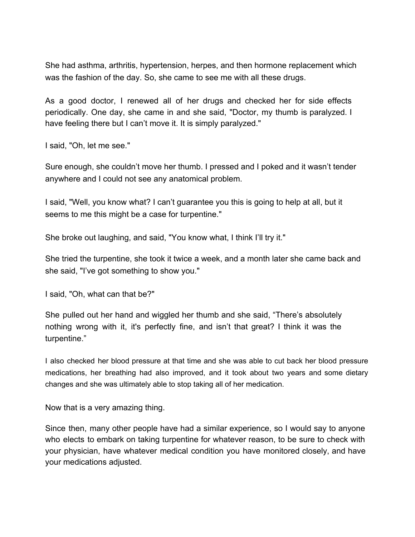She had asthma, arthritis, hypertension, herpes, and then hormone replacement which was the fashion of the day. So, she came to see me with all these drugs.

As a good doctor, I renewed all of her drugs and checked her for side effects periodically. One day, she came in and she said, "Doctor, my thumb is paralyzed. I have feeling there but I can't move it. It is simply paralyzed."

I said, "Oh, let me see."

Sure enough, she couldn't move her thumb. I pressed and I poked and it wasn't tender anywhere and I could not see any anatomical problem.

I said, "Well, you know what? I can't guarantee you this is going to help at all, but it seems to me this might be a case for turpentine."

She broke out laughing, and said, "You know what, I think I'll try it."

She tried the turpentine, she took it twice a week, and a month later she came back and she said, "I've got something to show you."

I said, "Oh, what can that be?"

She pulled out her hand and wiggled her thumb and she said, "There's absolutely nothing wrong with it, it's perfectly fine, and isn't that great? I think it was the turpentine."

I also checked her blood pressure at that time and she was able to cut back her blood pressure medications, her breathing had also improved, and it took about two years and some dietary changes and she was ultimately able to stop taking all of her medication.

Now that is a very amazing thing.

Since then, many other people have had a similar experience, so I would say to anyone who elects to embark on taking turpentine for whatever reason, to be sure to check with your physician, have whatever medical condition you have monitored closely, and have your medications adjusted.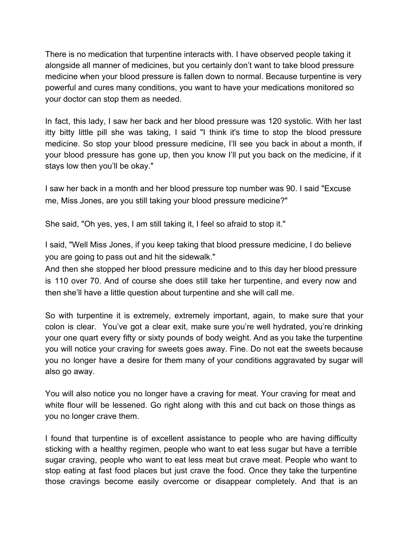There is no medication that turpentine interacts with. I have observed people taking it alongside all manner of medicines, but you certainly don't want to take blood pressure medicine when your blood pressure is fallen down to normal. Because turpentine is very powerful and cures many conditions, you want to have your medications monitored so your doctor can stop them as needed.

In fact, this lady, I saw her back and her blood pressure was 120 systolic. With her last itty bitty little pill she was taking, I said "I think it's time to stop the blood pressure medicine. So stop your blood pressure medicine, I'll see you back in about a month, if your blood pressure has gone up, then you know I'll put you back on the medicine, if it stays low then you'll be okay."

I saw her back in a month and her blood pressure top number was 90. I said "Excuse me, Miss Jones, are you still taking your blood pressure medicine?"

She said, "Oh yes, yes, I am still taking it, I feel so afraid to stop it."

I said, "Well Miss Jones, if you keep taking that blood pressure medicine, I do believe you are going to pass out and hit the sidewalk."

And then she stopped her blood pressure medicine and to this day her blood pressure is 110 over 70. And of course she does still take her turpentine, and every now and then she'll have a little question about turpentine and she will call me.

So with turpentine it is extremely, extremely important, again, to make sure that your colon is clear. You've got a clear exit, make sure you're well hydrated, you're drinking your one quart every fifty or sixty pounds of body weight. And as you take the turpentine you will notice your craving for sweets goes away. Fine. Do not eat the sweets because you no longer have a desire for them many of your conditions aggravated by sugar will also go away.

You will also notice you no longer have a craving for meat. Your craving for meat and white flour will be lessened. Go right along with this and cut back on those things as you no longer crave them.

I found that turpentine is of excellent assistance to people who are having difficulty sticking with a healthy regimen, people who want to eat less sugar but have a terrible sugar craving, people who want to eat less meat but crave meat. People who want to stop eating at fast food places but just crave the food. Once they take the turpentine those cravings become easily overcome or disappear completely. And that is an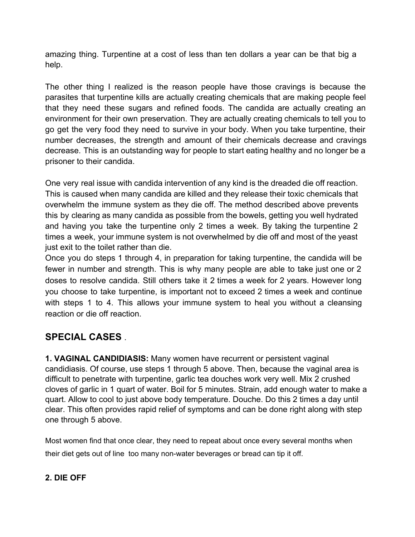amazing thing. Turpentine at a cost of less than ten dollars a year can be that big a help.

The other thing I realized is the reason people have those cravings is because the parasites that turpentine kills are actually creating chemicals that are making people feel that they need these sugars and refined foods. The candida are actually creating an environment for their own preservation. They are actually creating chemicals to tell you to go get the very food they need to survive in your body. When you take turpentine, their number decreases, the strength and amount of their chemicals decrease and cravings decrease. This is an outstanding way for people to start eating healthy and no longer be a prisoner to their candida.

One very real issue with candida intervention of any kind is the dreaded die off reaction. This is caused when many candida are killed and they release their toxic chemicals that overwhelm the immune system as they die off. The method described above prevents this by clearing as many candida as possible from the bowels, getting you well hydrated and having you take the turpentine only 2 times a week. By taking the turpentine 2 times a week, your immune system is not overwhelmed by die off and most of the yeast just exit to the toilet rather than die.

Once you do steps 1 through 4, in preparation for taking turpentine, the candida will be fewer in number and strength. This is why many people are able to take just one or 2 doses to resolve candida. Still others take it 2 times a week for 2 years. However long you choose to take turpentine, is important not to exceed 2 times a week and continue with steps 1 to 4. This allows your immune system to heal you without a cleansing reaction or die off reaction.

# **SPECIAL CASES** .

**1. VAGINAL CANDIDIASIS:** Many women have recurrent or persistent vaginal candidiasis. Of course, use steps 1 through 5 above. Then, because the vaginal area is difficult to penetrate with turpentine, garlic tea douches work very well. Mix 2 crushed cloves of garlic in 1 quart of water. Boil for 5 minutes. Strain, add enough water to make a quart. Allow to cool to just above body temperature. Douche. Do this 2 times a day until clear. This often provides rapid relief of symptoms and can be done right along with step one through 5 above.

Most women find that once clear, they need to repeat about once every several months when their diet gets out of line too many non-water beverages or bread can tip it off.

#### **2. DIE OFF**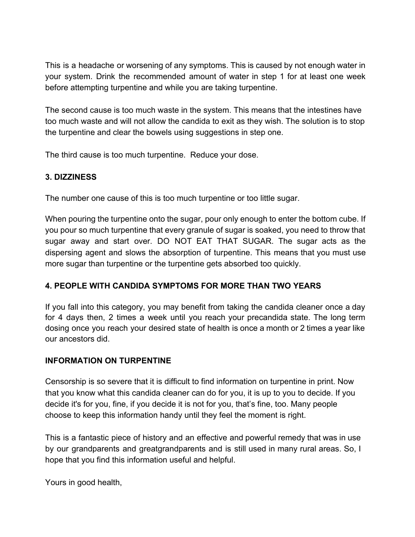This is a headache or worsening of any symptoms. This is caused by not enough water in your system. Drink the recommended amount of water in step 1 for at least one week before attempting turpentine and while you are taking turpentine.

The second cause is too much waste in the system. This means that the intestines have too much waste and will not allow the candida to exit as they wish. The solution is to stop the turpentine and clear the bowels using suggestions in step one.

The third cause is too much turpentine. Reduce your dose.

# **3. DIZZINESS**

The number one cause of this is too much turpentine or too little sugar.

When pouring the turpentine onto the sugar, pour only enough to enter the bottom cube. If you pour so much turpentine that every granule of sugar is soaked, you need to throw that sugar away and start over. DO NOT EAT THAT SUGAR. The sugar acts as the dispersing agent and slows the absorption of turpentine. This means that you must use more sugar than turpentine or the turpentine gets absorbed too quickly.

# **4. PEOPLE WITH CANDIDA SYMPTOMS FOR MORE THAN TWO YEARS**

If you fall into this category, you may benefit from taking the candida cleaner once a day for 4 days then, 2 times a week until you reach your precandida state. The long term dosing once you reach your desired state of health is once a month or 2 times a year like our ancestors did.

# **INFORMATION ON TURPENTINE**

Censorship is so severe that it is difficult to find information on turpentine in print. Now that you know what this candida cleaner can do for you, it is up to you to decide. If you decide it's for you, fine, if you decide it is not for you, that's fine, too. Many people choose to keep this information handy until they feel the moment is right.

This is a fantastic piece of history and an effective and powerful remedy that was in use by our grandparents and greatgrandparents and is still used in many rural areas. So, I hope that you find this information useful and helpful.

Yours in good health,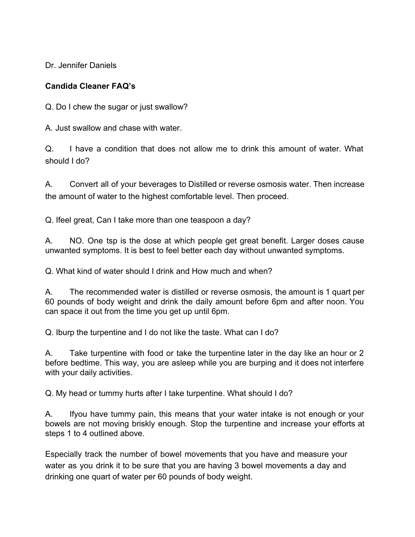Dr. Jennifer Daniels

#### **Candida Cleaner FAQ's**

Q. Do I chew the sugar or just swallow?

A. Just swallow and chase with water.

Q. I have a condition that does not allow me to drink this amount of water. What should I do?

A. Convert all of your beverages to Distilled or reverse osmosis water. Then increase the amount of water to the highest comfortable level. Then proceed.

Q. Ifeel great, Can I take more than one teaspoon a day?

A. NO. One tsp is the dose at which people get great benefit. Larger doses cause unwanted symptoms. It is best to feel better each day without unwanted symptoms.

Q. What kind of water should I drink and How much and when?

A. The recommended water is distilled or reverse osmosis, the amount is 1 quart per 60 pounds of body weight and drink the daily amount before 6pm and after noon. You can space it out from the time you get up until 6pm.

Q. Iburp the turpentine and I do not like the taste. What can I do?

A. Take turpentine with food or take the turpentine later in the day like an hour or 2 before bedtime. This way, you are asleep while you are burping and it does not interfere with your daily activities.

Q. My head or tummy hurts after I take turpentine. What should I do?

A. Ifyou have tummy pain, this means that your water intake is not enough or your bowels are not moving briskly enough. Stop the turpentine and increase your efforts at steps 1 to 4 outlined above.

Especially track the number of bowel movements that you have and measure your water as you drink it to be sure that you are having 3 bowel movements a day and drinking one quart of water per 60 pounds of body weight.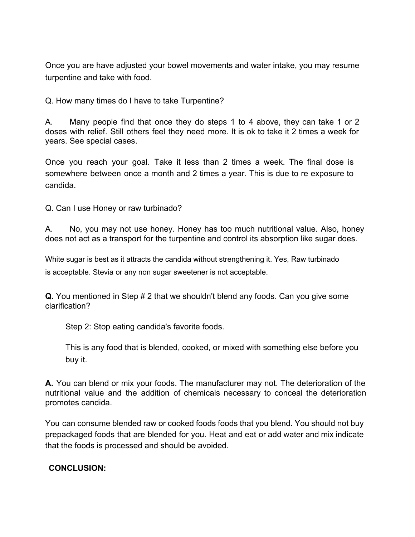Once you are have adjusted your bowel movements and water intake, you may resume turpentine and take with food.

Q. How many times do I have to take Turpentine?

A. Many people find that once they do steps 1 to 4 above, they can take 1 or 2 doses with relief. Still others feel they need more. It is ok to take it 2 times a week for years. See special cases.

Once you reach your goal. Take it less than 2 times a week. The final dose is somewhere between once a month and 2 times a year. This is due to re exposure to candida.

Q. Can I use Honey or raw turbinado?

A. No, you may not use honey. Honey has too much nutritional value. Also, honey does not act as a transport for the turpentine and control its absorption like sugar does.

White sugar is best as it attracts the candida without strengthening it. Yes, Raw turbinado is acceptable. Stevia or any non sugar sweetener is not acceptable.

**Q.** You mentioned in Step # 2 that we shouldn't blend any foods. Can you give some clarification?

Step 2: Stop eating candida's favorite foods.

This is any food that is blended, cooked, or mixed with something else before you buy it.

**A.** You can blend or mix your foods. The manufacturer may not. The deterioration of the nutritional value and the addition of chemicals necessary to conceal the deterioration promotes candida.

You can consume blended raw or cooked foods foods that you blend. You should not buy prepackaged foods that are blended for you. Heat and eat or add water and mix indicate that the foods is processed and should be avoided.

#### **CONCLUSION:**